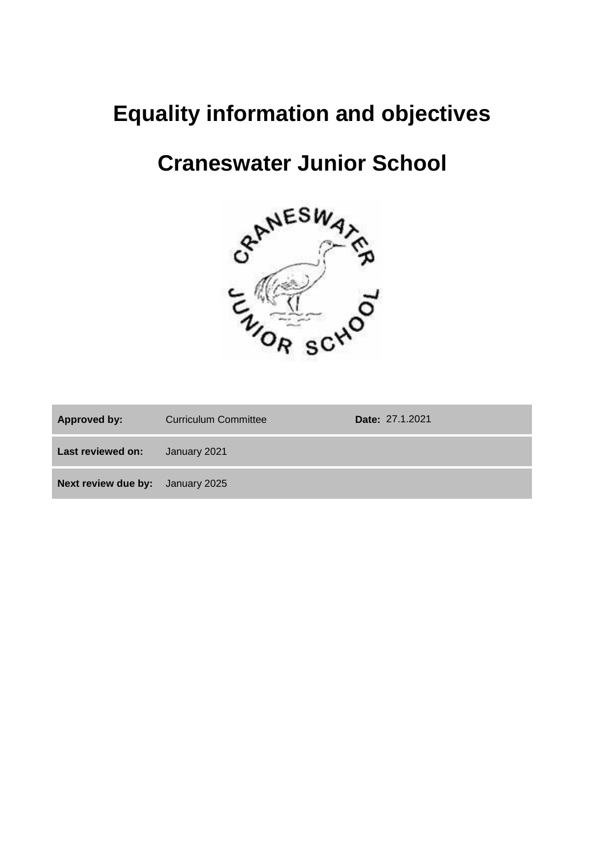# **Equality information and objectives**

# **Craneswater Junior School**



| <b>Approved by:</b>                     | <b>Curriculum Committee</b> | Date: 27.1.2021 |
|-----------------------------------------|-----------------------------|-----------------|
| Last reviewed on:                       | January 2021                |                 |
| <b>Next review due by:</b> January 2025 |                             |                 |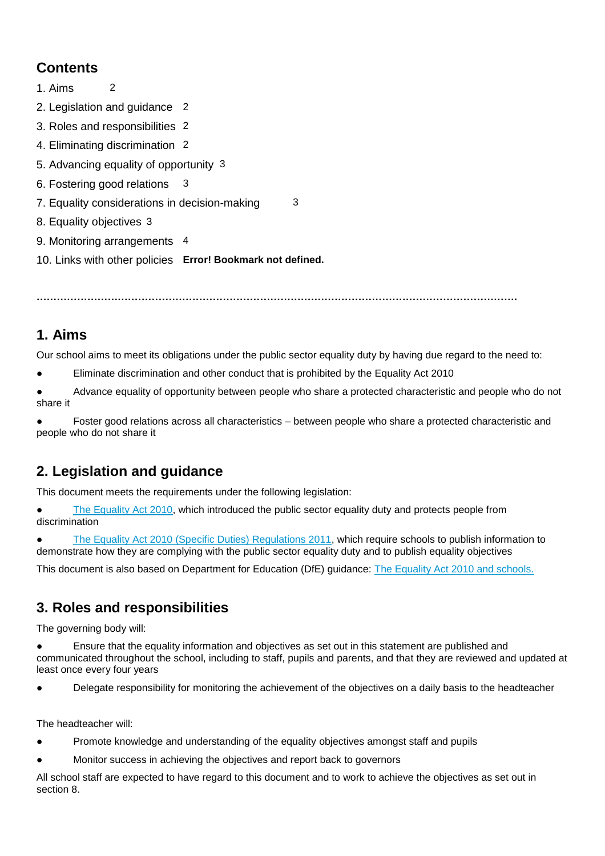## **Contents**

- 1. Aims 2
- 2. Legislation and guidance 2
- 3. Roles and responsibilities 2
- 4. Eliminating discrimination 2
- 5. Advancing equality of opportunity 3
- 6. Fostering good relations 3
- 7. Equality considerations in decision-making 3
- 8. Equality objectives 3
- 9. Monitoring arrangements 4
- 10. Links with other policies **Error! Bookmark not defined.**

**…………………………………………………………………………………………………………………………….**

#### **1. Aims**

Our school aims to meet its obligations under the public sector equality duty by having due regard to the need to:

Eliminate discrimination and other conduct that is prohibited by the Equality Act 2010

Advance equality of opportunity between people who share a protected characteristic and people who do not share it

Foster good relations across all characteristics – between people who share a protected characteristic and people who do not share it

## **2. Legislation and guidance**

This document meets the requirements under the following legislation:

[The Equality Act 2010,](http://www.legislation.gov.uk/ukpga/2010/15/contents) which introduced the public sector equality duty and protects people from discrimination

[The Equality Act 2010 \(Specific Duties\) Regulations 2011,](http://www.legislation.gov.uk/uksi/2011/2260/contents/made) which require schools to publish information to demonstrate how they are complying with the public sector equality duty and to publish equality objectives

This document is also based on Department for Education (DfE) guidance: [The Equality Act 2010 and schools.](https://www.gov.uk/government/uploads/system/uploads/attachment_data/file/315587/Equality_Act_Advice_Final.pdf) 

#### **3. Roles and responsibilities**

The governing body will:

- Ensure that the equality information and objectives as set out in this statement are published and communicated throughout the school, including to staff, pupils and parents, and that they are reviewed and updated at least once every four years
- Delegate responsibility for monitoring the achievement of the objectives on a daily basis to the headteacher

The headteacher will:

- Promote knowledge and understanding of the equality objectives amongst staff and pupils
- Monitor success in achieving the objectives and report back to governors

All school staff are expected to have regard to this document and to work to achieve the objectives as set out in section 8.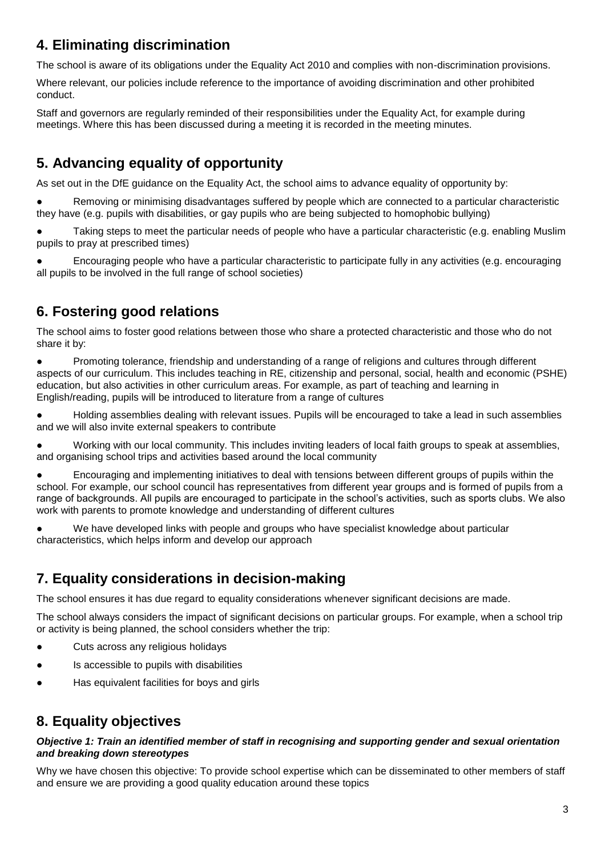#### **4. Eliminating discrimination**

The school is aware of its obligations under the Equality Act 2010 and complies with non-discrimination provisions.

Where relevant, our policies include reference to the importance of avoiding discrimination and other prohibited conduct.

Staff and governors are regularly reminded of their responsibilities under the Equality Act, for example during meetings. Where this has been discussed during a meeting it is recorded in the meeting minutes.

# **5. Advancing equality of opportunity**

As set out in the DfE guidance on the Equality Act, the school aims to advance equality of opportunity by:

Removing or minimising disadvantages suffered by people which are connected to a particular characteristic they have (e.g. pupils with disabilities, or gay pupils who are being subjected to homophobic bullying)

Taking steps to meet the particular needs of people who have a particular characteristic (e.g. enabling Muslim pupils to pray at prescribed times)

Encouraging people who have a particular characteristic to participate fully in any activities (e.g. encouraging all pupils to be involved in the full range of school societies)

# **6. Fostering good relations**

The school aims to foster good relations between those who share a protected characteristic and those who do not share it by:

● Promoting tolerance, friendship and understanding of a range of religions and cultures through different aspects of our curriculum. This includes teaching in RE, citizenship and personal, social, health and economic (PSHE) education, but also activities in other curriculum areas. For example, as part of teaching and learning in English/reading, pupils will be introduced to literature from a range of cultures

● Holding assemblies dealing with relevant issues. Pupils will be encouraged to take a lead in such assemblies and we will also invite external speakers to contribute

Working with our local community. This includes inviting leaders of local faith groups to speak at assemblies, and organising school trips and activities based around the local community

● Encouraging and implementing initiatives to deal with tensions between different groups of pupils within the school. For example, our school council has representatives from different year groups and is formed of pupils from a range of backgrounds. All pupils are encouraged to participate in the school's activities, such as sports clubs. We also work with parents to promote knowledge and understanding of different cultures

We have developed links with people and groups who have specialist knowledge about particular characteristics, which helps inform and develop our approach

## **7. Equality considerations in decision-making**

The school ensures it has due regard to equality considerations whenever significant decisions are made.

The school always considers the impact of significant decisions on particular groups. For example, when a school trip or activity is being planned, the school considers whether the trip:

- Cuts across any religious holidays
- Is accessible to pupils with disabilities
- Has equivalent facilities for boys and girls

## **8. Equality objectives**

#### *Objective 1: Train an identified member of staff in recognising and supporting gender and sexual orientation and breaking down stereotypes*

Why we have chosen this objective: To provide school expertise which can be disseminated to other members of staff and ensure we are providing a good quality education around these topics